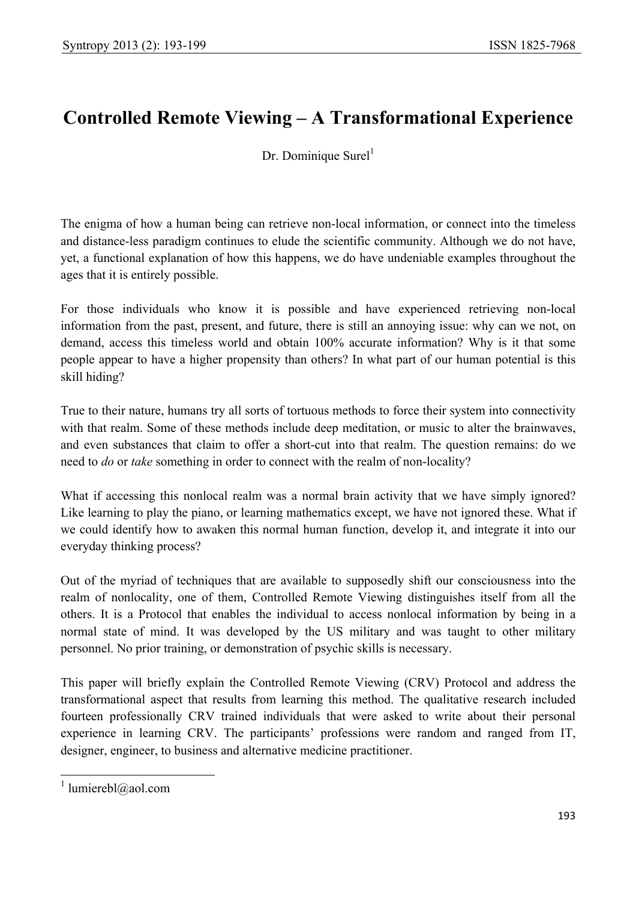# **Controlled Remote Viewing – A Transformational Experience**

Dr. Dominique Surel<sup>1</sup>

The enigma of how a human being can retrieve non-local information, or connect into the timeless and distance-less paradigm continues to elude the scientific community. Although we do not have, yet, a functional explanation of how this happens, we do have undeniable examples throughout the ages that it is entirely possible.

For those individuals who know it is possible and have experienced retrieving non-local information from the past, present, and future, there is still an annoying issue: why can we not, on demand, access this timeless world and obtain 100% accurate information? Why is it that some people appear to have a higher propensity than others? In what part of our human potential is this skill hiding?

True to their nature, humans try all sorts of tortuous methods to force their system into connectivity with that realm. Some of these methods include deep meditation, or music to alter the brainwaves, and even substances that claim to offer a short-cut into that realm. The question remains: do we need to *do* or *take* something in order to connect with the realm of non-locality?

What if accessing this nonlocal realm was a normal brain activity that we have simply ignored? Like learning to play the piano, or learning mathematics except, we have not ignored these. What if we could identify how to awaken this normal human function, develop it, and integrate it into our everyday thinking process?

Out of the myriad of techniques that are available to supposedly shift our consciousness into the realm of nonlocality, one of them, Controlled Remote Viewing distinguishes itself from all the others. It is a Protocol that enables the individual to access nonlocal information by being in a normal state of mind. It was developed by the US military and was taught to other military personnel. No prior training, or demonstration of psychic skills is necessary.

This paper will briefly explain the Controlled Remote Viewing (CRV) Protocol and address the transformational aspect that results from learning this method. The qualitative research included fourteen professionally CRV trained individuals that were asked to write about their personal experience in learning CRV. The participants' professions were random and ranged from IT, designer, engineer, to business and alternative medicine practitioner.

 $\overline{\phantom{a}}$ 

<sup>&</sup>lt;sup>1</sup> lumierebl@aol.com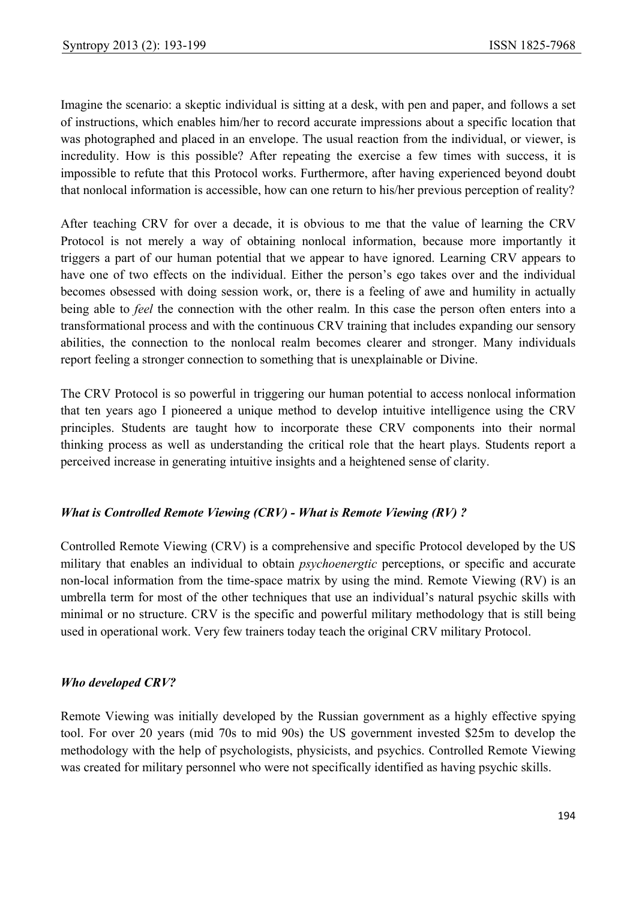Imagine the scenario: a skeptic individual is sitting at a desk, with pen and paper, and follows a set of instructions, which enables him/her to record accurate impressions about a specific location that was photographed and placed in an envelope. The usual reaction from the individual, or viewer, is incredulity. How is this possible? After repeating the exercise a few times with success, it is impossible to refute that this Protocol works. Furthermore, after having experienced beyond doubt that nonlocal information is accessible, how can one return to his/her previous perception of reality?

After teaching CRV for over a decade, it is obvious to me that the value of learning the CRV Protocol is not merely a way of obtaining nonlocal information, because more importantly it triggers a part of our human potential that we appear to have ignored. Learning CRV appears to have one of two effects on the individual. Either the person's ego takes over and the individual becomes obsessed with doing session work, or, there is a feeling of awe and humility in actually being able to *feel* the connection with the other realm. In this case the person often enters into a transformational process and with the continuous CRV training that includes expanding our sensory abilities, the connection to the nonlocal realm becomes clearer and stronger. Many individuals report feeling a stronger connection to something that is unexplainable or Divine.

The CRV Protocol is so powerful in triggering our human potential to access nonlocal information that ten years ago I pioneered a unique method to develop intuitive intelligence using the CRV principles. Students are taught how to incorporate these CRV components into their normal thinking process as well as understanding the critical role that the heart plays. Students report a perceived increase in generating intuitive insights and a heightened sense of clarity.

## *What is Controlled Remote Viewing (CRV) - What is Remote Viewing (RV) ?*

Controlled Remote Viewing (CRV) is a comprehensive and specific Protocol developed by the US military that enables an individual to obtain *psychoenergtic* perceptions, or specific and accurate non-local information from the time-space matrix by using the mind. Remote Viewing (RV) is an umbrella term for most of the other techniques that use an individual's natural psychic skills with minimal or no structure. CRV is the specific and powerful military methodology that is still being used in operational work. Very few trainers today teach the original CRV military Protocol.

#### *Who developed CRV?*

Remote Viewing was initially developed by the Russian government as a highly effective spying tool. For over 20 years (mid 70s to mid 90s) the US government invested \$25m to develop the methodology with the help of psychologists, physicists, and psychics. Controlled Remote Viewing was created for military personnel who were not specifically identified as having psychic skills.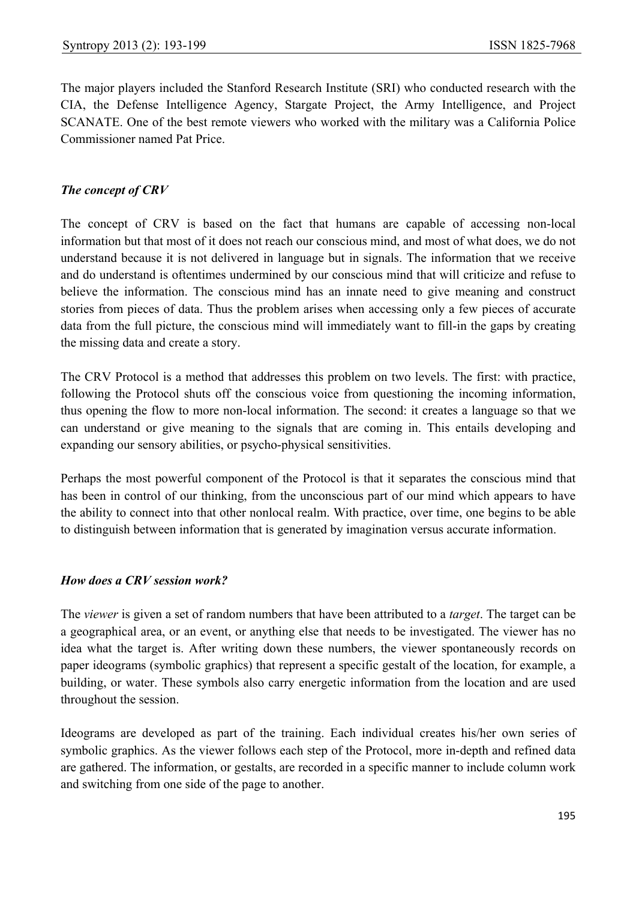The major players included the Stanford Research Institute (SRI) who conducted research with the CIA, the Defense Intelligence Agency, Stargate Project, the Army Intelligence, and Project SCANATE. One of the best remote viewers who worked with the military was a California Police Commissioner named Pat Price.

#### *The concept of CRV*

The concept of CRV is based on the fact that humans are capable of accessing non-local information but that most of it does not reach our conscious mind, and most of what does, we do not understand because it is not delivered in language but in signals. The information that we receive and do understand is oftentimes undermined by our conscious mind that will criticize and refuse to believe the information. The conscious mind has an innate need to give meaning and construct stories from pieces of data. Thus the problem arises when accessing only a few pieces of accurate data from the full picture, the conscious mind will immediately want to fill-in the gaps by creating the missing data and create a story.

The CRV Protocol is a method that addresses this problem on two levels. The first: with practice, following the Protocol shuts off the conscious voice from questioning the incoming information, thus opening the flow to more non-local information. The second: it creates a language so that we can understand or give meaning to the signals that are coming in. This entails developing and expanding our sensory abilities, or psycho-physical sensitivities.

Perhaps the most powerful component of the Protocol is that it separates the conscious mind that has been in control of our thinking, from the unconscious part of our mind which appears to have the ability to connect into that other nonlocal realm. With practice, over time, one begins to be able to distinguish between information that is generated by imagination versus accurate information.

#### *How does a CRV session work?*

The *viewer* is given a set of random numbers that have been attributed to a *target*. The target can be a geographical area, or an event, or anything else that needs to be investigated. The viewer has no idea what the target is. After writing down these numbers, the viewer spontaneously records on paper ideograms (symbolic graphics) that represent a specific gestalt of the location, for example, a building, or water. These symbols also carry energetic information from the location and are used throughout the session.

Ideograms are developed as part of the training. Each individual creates his/her own series of symbolic graphics. As the viewer follows each step of the Protocol, more in-depth and refined data are gathered. The information, or gestalts, are recorded in a specific manner to include column work and switching from one side of the page to another.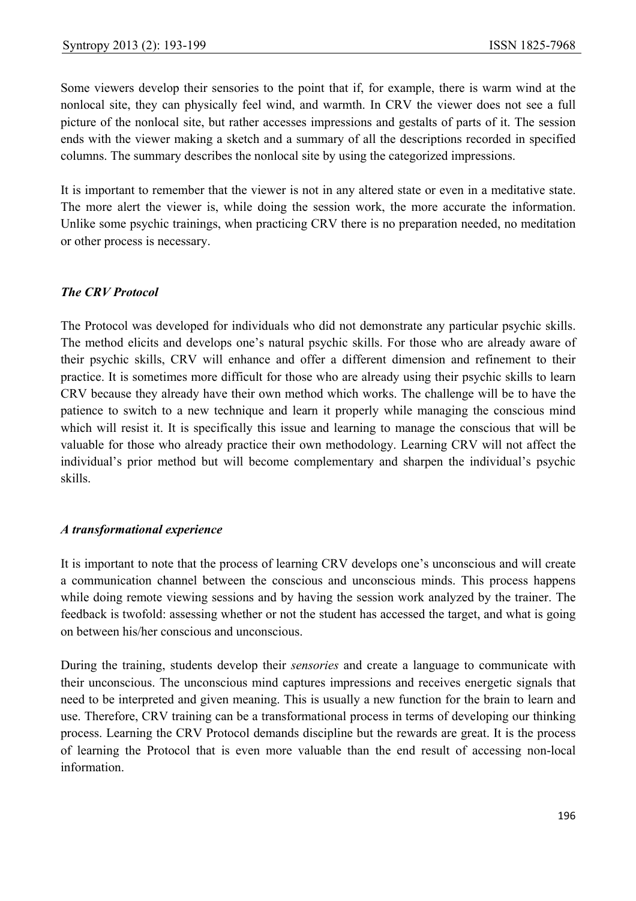Some viewers develop their sensories to the point that if, for example, there is warm wind at the nonlocal site, they can physically feel wind, and warmth. In CRV the viewer does not see a full picture of the nonlocal site, but rather accesses impressions and gestalts of parts of it. The session ends with the viewer making a sketch and a summary of all the descriptions recorded in specified columns. The summary describes the nonlocal site by using the categorized impressions.

It is important to remember that the viewer is not in any altered state or even in a meditative state. The more alert the viewer is, while doing the session work, the more accurate the information. Unlike some psychic trainings, when practicing CRV there is no preparation needed, no meditation or other process is necessary.

#### *The CRV Protocol*

The Protocol was developed for individuals who did not demonstrate any particular psychic skills. The method elicits and develops one's natural psychic skills. For those who are already aware of their psychic skills, CRV will enhance and offer a different dimension and refinement to their practice. It is sometimes more difficult for those who are already using their psychic skills to learn CRV because they already have their own method which works. The challenge will be to have the patience to switch to a new technique and learn it properly while managing the conscious mind which will resist it. It is specifically this issue and learning to manage the conscious that will be valuable for those who already practice their own methodology. Learning CRV will not affect the individual's prior method but will become complementary and sharpen the individual's psychic skills.

#### *A transformational experience*

It is important to note that the process of learning CRV develops one's unconscious and will create a communication channel between the conscious and unconscious minds. This process happens while doing remote viewing sessions and by having the session work analyzed by the trainer. The feedback is twofold: assessing whether or not the student has accessed the target, and what is going on between his/her conscious and unconscious.

During the training, students develop their *sensories* and create a language to communicate with their unconscious. The unconscious mind captures impressions and receives energetic signals that need to be interpreted and given meaning. This is usually a new function for the brain to learn and use. Therefore, CRV training can be a transformational process in terms of developing our thinking process. Learning the CRV Protocol demands discipline but the rewards are great. It is the process of learning the Protocol that is even more valuable than the end result of accessing non-local information.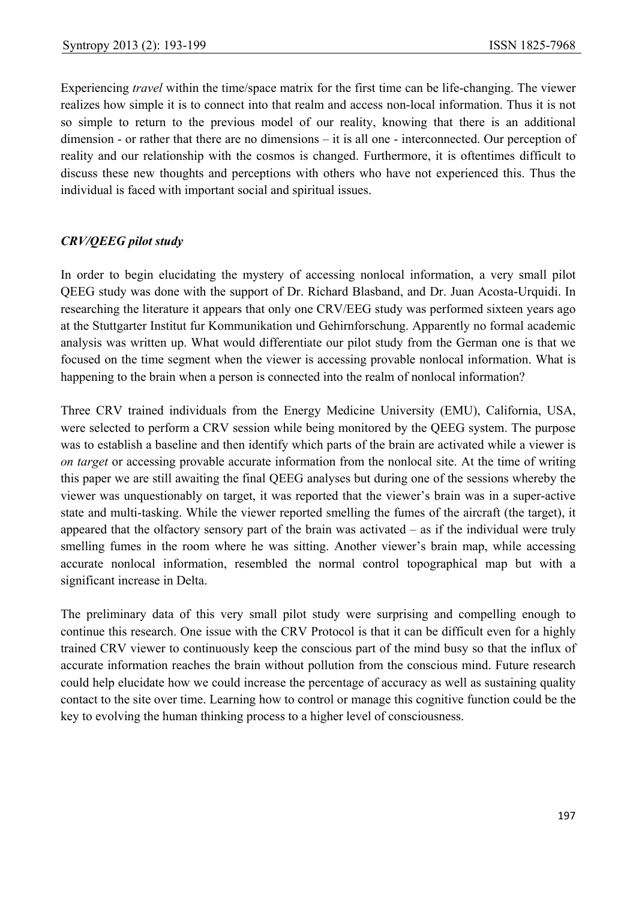Experiencing *travel* within the time/space matrix for the first time can be life-changing. The viewer realizes how simple it is to connect into that realm and access non-local information. Thus it is not so simple to return to the previous model of our reality, knowing that there is an additional dimension - or rather that there are no dimensions – it is all one - interconnected. Our perception of reality and our relationship with the cosmos is changed. Furthermore, it is oftentimes difficult to discuss these new thoughts and perceptions with others who have not experienced this. Thus the individual is faced with important social and spiritual issues.

### *CRV/QEEG pilot study*

In order to begin elucidating the mystery of accessing nonlocal information, a very small pilot QEEG study was done with the support of Dr. Richard Blasband, and Dr. Juan Acosta-Urquidi. In researching the literature it appears that only one CRV/EEG study was performed sixteen years ago at the Stuttgarter Institut fur Kommunikation und Gehirnforschung. Apparently no formal academic analysis was written up. What would differentiate our pilot study from the German one is that we focused on the time segment when the viewer is accessing provable nonlocal information. What is happening to the brain when a person is connected into the realm of nonlocal information?

Three CRV trained individuals from the Energy Medicine University (EMU), California, USA, were selected to perform a CRV session while being monitored by the QEEG system. The purpose was to establish a baseline and then identify which parts of the brain are activated while a viewer is *on target* or accessing provable accurate information from the nonlocal site. At the time of writing this paper we are still awaiting the final QEEG analyses but during one of the sessions whereby the viewer was unquestionably on target, it was reported that the viewer's brain was in a super-active state and multi-tasking. While the viewer reported smelling the fumes of the aircraft (the target), it appeared that the olfactory sensory part of the brain was activated – as if the individual were truly smelling fumes in the room where he was sitting. Another viewer's brain map, while accessing accurate nonlocal information, resembled the normal control topographical map but with a significant increase in Delta.

The preliminary data of this very small pilot study were surprising and compelling enough to continue this research. One issue with the CRV Protocol is that it can be difficult even for a highly trained CRV viewer to continuously keep the conscious part of the mind busy so that the influx of accurate information reaches the brain without pollution from the conscious mind. Future research could help elucidate how we could increase the percentage of accuracy as well as sustaining quality contact to the site over time. Learning how to control or manage this cognitive function could be the key to evolving the human thinking process to a higher level of consciousness.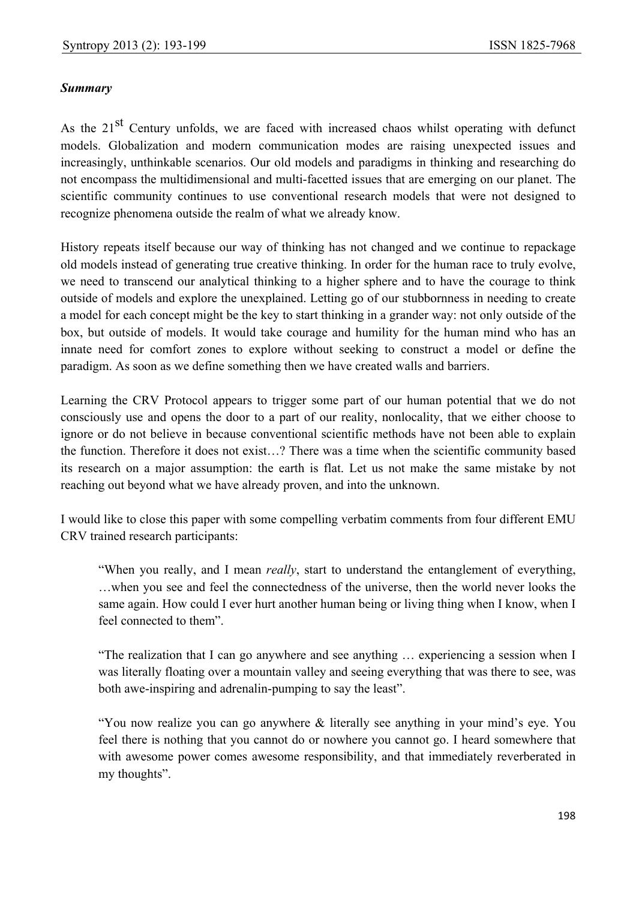### *Summary*

As the 21<sup>st</sup> Century unfolds, we are faced with increased chaos whilst operating with defunct models. Globalization and modern communication modes are raising unexpected issues and increasingly, unthinkable scenarios. Our old models and paradigms in thinking and researching do not encompass the multidimensional and multi-facetted issues that are emerging on our planet. The scientific community continues to use conventional research models that were not designed to recognize phenomena outside the realm of what we already know.

History repeats itself because our way of thinking has not changed and we continue to repackage old models instead of generating true creative thinking. In order for the human race to truly evolve, we need to transcend our analytical thinking to a higher sphere and to have the courage to think outside of models and explore the unexplained. Letting go of our stubbornness in needing to create a model for each concept might be the key to start thinking in a grander way: not only outside of the box, but outside of models. It would take courage and humility for the human mind who has an innate need for comfort zones to explore without seeking to construct a model or define the paradigm. As soon as we define something then we have created walls and barriers.

Learning the CRV Protocol appears to trigger some part of our human potential that we do not consciously use and opens the door to a part of our reality, nonlocality, that we either choose to ignore or do not believe in because conventional scientific methods have not been able to explain the function. Therefore it does not exist…? There was a time when the scientific community based its research on a major assumption: the earth is flat. Let us not make the same mistake by not reaching out beyond what we have already proven, and into the unknown.

I would like to close this paper with some compelling verbatim comments from four different EMU CRV trained research participants:

 "When you really, and I mean *really*, start to understand the entanglement of everything, …when you see and feel the connectedness of the universe, then the world never looks the same again. How could I ever hurt another human being or living thing when I know, when I feel connected to them".

 "The realization that I can go anywhere and see anything … experiencing a session when I was literally floating over a mountain valley and seeing everything that was there to see, was both awe-inspiring and adrenalin-pumping to say the least".

 "You now realize you can go anywhere & literally see anything in your mind's eye. You feel there is nothing that you cannot do or nowhere you cannot go. I heard somewhere that with awesome power comes awesome responsibility, and that immediately reverberated in my thoughts".